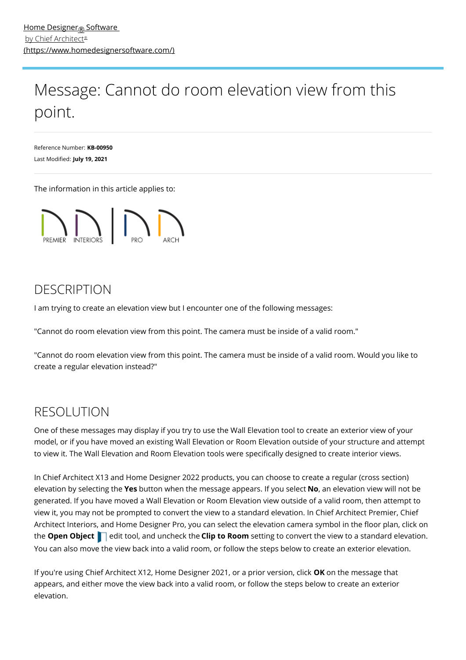## Message: Cannot do room elevation view from this point.

Reference Number: **KB-00950** Last Modified: **July 19, 2021**

The information in this article applies to:



## DESCRIPTION

I am trying to create an elevation view but I encounter one of the following messages:

"Cannot do room elevation view from this point. The camera must be inside of a valid room."

"Cannot do room elevation view from this point. The camera must be inside of a valid room. Would you like to create a regular elevation instead?"

## RESOLUTION

One of these messages may display if you try to use the Wall Elevation tool to create an exterior view of your model, or if you have moved an existing Wall Elevation or Room Elevation outside of your structure and attempt to view it. The Wall Elevation and Room Elevation tools were specifically designed to create interior views.

In Chief Architect X13 and Home Designer 2022 products, you can choose to create a regular (cross section) elevation by selecting the **Yes** button when the message appears. If you select **No**, an elevation view will not be generated. If you have moved a Wall Elevation or Room Elevation view outside of a valid room, then attempt to view it, you may not be prompted to convert the view to a standard elevation. In Chief Architect Premier, Chief Architect Interiors, and Home Designer Pro, you can select the elevation camera symbol in the floor plan, click on **the Open Object e** edit tool, and uncheck the **Clip to Room** setting to convert the view to a standard elevation. You can also move the view back into a valid room, or follow the steps below to create an exterior elevation.

If you're using Chief Architect X12, Home Designer 2021, or a prior version, click **OK** on the message that appears, and either move the view back into a valid room, or follow the steps below to create an exterior elevation.